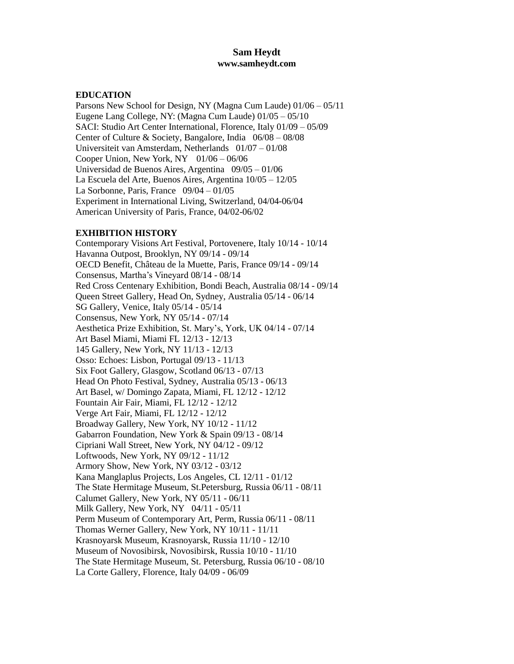# **Sam Heydt [www.samheydt.com](http://www.samheydt.com/)**

#### **EDUCATION**

Parsons New School for Design, NY (Magna Cum Laude) 01/06 – 05/11 Eugene Lang College, NY: (Magna Cum Laude) 01/05 – 05/10 SACI: Studio Art Center International, Florence, Italy 01/09 – 05/09 Center of Culture & Society, Bangalore, India 06/08 – 08/08 Universiteit van Amsterdam, Netherlands 01/07 – 01/08 Cooper Union, New York, NY  $01/06 - 06/06$ Universidad de Buenos Aires, Argentina 09/05 – 01/06 La Escuela del Arte, Buenos Aires, Argentina 10/05 – 12/05 La Sorbonne, Paris, France  $09/04 - 01/05$ Experiment in International Living, Switzerland, 04/04-06/04 American University of Paris, France, 04/02-06/02

#### **EXHIBITION HISTORY**

Contemporary Visions Art Festival, Portovenere, Italy 10/14 - 10/14 Havanna Outpost, Brooklyn, NY 09/14 - 09/14 OECD Benefit, Château de la Muette, Paris, France 09/14 - 09/14 Consensus, Martha's Vineyard 08/14 - 08/14 Red Cross Centenary Exhibition, Bondi Beach, Australia 08/14 - 09/14 Queen Street Gallery, Head On, Sydney, Australia 05/14 - 06/14 SG Gallery, Venice, Italy 05/14 - 05/14 Consensus, New York, NY 05/14 - 07/14 Aesthetica Prize Exhibition, St. Mary's, York, UK 04/14 - 07/14 Art Basel Miami, Miami FL 12/13 - 12/13 145 Gallery, New York, NY 11/13 - 12/13 Osso: Echoes: Lisbon, Portugal 09/13 - 11/13 Six Foot Gallery, Glasgow, Scotland 06/13 - 07/13 Head On Photo Festival, Sydney, Australia 05/13 - 06/13 Art Basel, w/ Domingo Zapata, Miami, FL 12/12 - 12/12 Fountain Air Fair, Miami, FL 12/12 - 12/12 Verge Art Fair, Miami, FL 12/12 - 12/12 Broadway Gallery, New York, NY 10/12 - 11/12 Gabarron Foundation, New York & Spain 09/13 - 08/14 Cipriani Wall Street, New York, NY 04/12 - 09/12 Loftwoods, New York, NY 09/12 - 11/12 Armory Show, New York, NY 03/12 - 03/12 Kana Manglaplus Projects, Los Angeles, CL 12/11 - 01/12 The State Hermitage Museum, St.Petersburg, Russia 06/11 - 08/11 Calumet Gallery, New York, NY 05/11 - 06/11 Milk Gallery, New York, NY 04/11 - 05/11 Perm Museum of Contemporary Art, Perm, Russia 06/11 - 08/11 Thomas Werner Gallery, New York, NY 10/11 - 11/11 Krasnoyarsk Museum, Krasnoyarsk, Russia 11/10 - 12/10 Museum of Novosibirsk, Novosibirsk, Russia 10/10 - 11/10 The State Hermitage Museum, St. Petersburg, Russia 06/10 - 08/10 La Corte Gallery, Florence, Italy 04/09 - 06/09